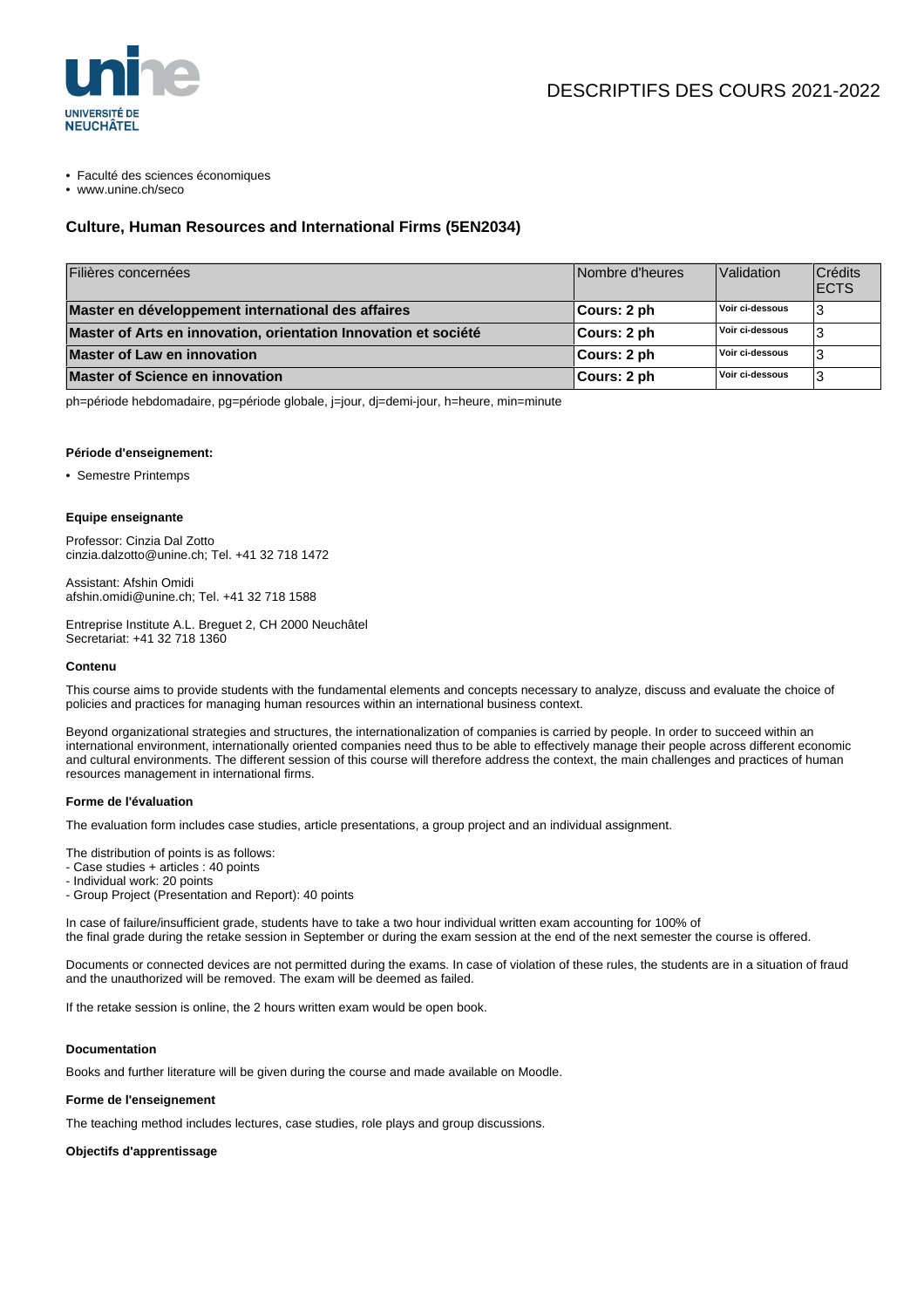

• Faculté des sciences économiques

• www.unine.ch/seco

# **Culture, Human Resources and International Firms (5EN2034)**

| Filières concernées                                             | Nombre d'heures | Validation      | Crédits<br><b>ECTS</b> |
|-----------------------------------------------------------------|-----------------|-----------------|------------------------|
| Master en développement international des affaires              | ∣Cours: 2 ph    | Voir ci-dessous |                        |
| Master of Arts en innovation, orientation Innovation et société | ∣Cours: 2 ph    | Voir ci-dessous |                        |
| <b>Master of Law en innovation</b>                              | ∣Cours: 2 ph    | Voir ci-dessous |                        |
| Master of Science en innovation                                 | ∣Cours: 2 ph    | Voir ci-dessous |                        |

ph=période hebdomadaire, pg=période globale, j=jour, dj=demi-jour, h=heure, min=minute

### **Période d'enseignement:**

• Semestre Printemps

#### **Equipe enseignante**

Professor: Cinzia Dal Zotto cinzia.dalzotto@unine.ch; Tel. +41 32 718 1472

Assistant: Afshin Omidi afshin.omidi@unine.ch; Tel. +41 32 718 1588

Entreprise Institute A.L. Breguet 2, CH 2000 Neuchâtel Secretariat: +41 32 718 1360

#### **Contenu**

This course aims to provide students with the fundamental elements and concepts necessary to analyze, discuss and evaluate the choice of policies and practices for managing human resources within an international business context.

Beyond organizational strategies and structures, the internationalization of companies is carried by people. In order to succeed within an international environment, internationally oriented companies need thus to be able to effectively manage their people across different economic and cultural environments. The different session of this course will therefore address the context, the main challenges and practices of human resources management in international firms.

#### **Forme de l'évaluation**

The evaluation form includes case studies, article presentations, a group project and an individual assignment.

The distribution of points is as follows:

- Case studies + articles : 40 points

- Individual work: 20 points
- Group Project (Presentation and Report): 40 points

In case of failure/insufficient grade, students have to take a two hour individual written exam accounting for 100% of the final grade during the retake session in September or during the exam session at the end of the next semester the course is offered.

Documents or connected devices are not permitted during the exams. In case of violation of these rules, the students are in a situation of fraud and the unauthorized will be removed. The exam will be deemed as failed.

If the retake session is online, the 2 hours written exam would be open book.

#### **Documentation**

Books and further literature will be given during the course and made available on Moodle.

#### **Forme de l'enseignement**

The teaching method includes lectures, case studies, role plays and group discussions.

## **Objectifs d'apprentissage**